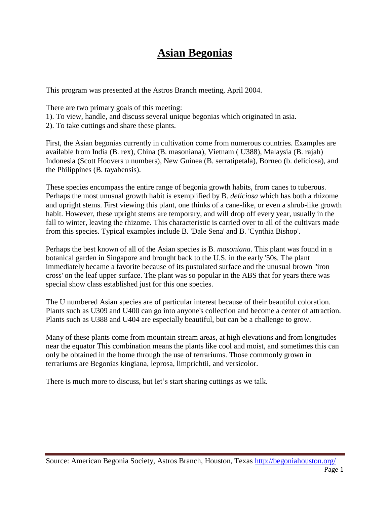## **Asian Begonias**

This program was presented at the Astros Branch meeting, April 2004.

There are two primary goals of this meeting:

- 1). To view, handle, and discuss several unique begonias which originated in asia.
- 2). To take cuttings and share these plants.

First, the Asian begonias currently in cultivation come from numerous countries. Examples are available from India (B. rex), China (B. masoniana), Vietnam ( U388), Malaysia (B. rajah) Indonesia (Scott Hoovers u numbers), New Guinea (B. serratipetala), Borneo (b. deliciosa), and the Philippines (B. tayabensis).

These species encompass the entire range of begonia growth habits, from canes to tuberous. Perhaps the most unusual growth habit is exemplified by B. *deliciosa* which has both a rhizome and upright stems. First viewing this plant, one thinks of a cane-like, or even a shrub-like growth habit. However, these upright stems are temporary, and will drop off every year, usually in the fall to winter, leaving the rhizome. This characteristic is carried over to all of the cultivars made from this species. Typical examples include B. 'Dale Sena' and B. 'Cynthia Bishop'.

Perhaps the best known of all of the Asian species is B. *masoniana*. This plant was found in a botanical garden in Singapore and brought back to the U.S. in the early '50s. The plant immediately became a favorite because of its pustulated surface and the unusual brown "iron cross' on the leaf upper surface. The plant was so popular in the ABS that for years there was special show class established just for this one species.

The U numbered Asian species are of particular interest because of their beautiful coloration. Plants such as U309 and U400 can go into anyone's collection and become a center of attraction. Plants such as U388 and U404 are especially beautiful, but can be a challenge to grow.

Many of these plants come from mountain stream areas, at high elevations and from longitudes near the equator This combination means the plants like cool and moist, and sometimes this can only be obtained in the home through the use of terrariums. Those commonly grown in terrariums are Begonias kingiana, leprosa, limprichtii, and versicolor.

There is much more to discuss, but let's start sharing cuttings as we talk.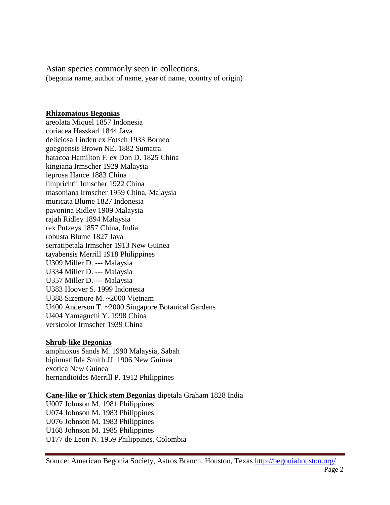Asian species commonly seen in collections. (begonia name, author of name, year of name, country of origin)

## **Rhizomatous Begonias**

areolata Miquel 1857 Indonesia coriacea Hasskarl 1844 Java deliciosa Linden ex Fotsch 1933 Borneo goegoensis Brown NE. 1882 Sumatra hatacoa Hamilton F. ex Don D. 1825 China kingiana Irmscher 1929 Malaysia leprosa Hance 1883 China limprichtii Irmscher 1922 China masoniana Irmscher 1959 China, Malaysia muricata Blume 1827 Indonesia pavonina Ridley 1909 Malaysia rajah Ridley 1894 Malaysia rex Putzeys 1857 China, India robusta Blume 1827 Java serratipetala Irmscher 1913 New Guinea tayabensis Merrill 1918 Philippines U309 Miller D. --- Malaysia U334 Miller D. --- Malaysia U357 Miller D. --- Malaysia U383 Hoover S. 1999 Indonesia U388 Sizemore M. ~2000 Vietnam U400 Anderson T. ~2000 Singapore Botanical Gardens U404 Yamaguchi Y. 1998 China versicolor Irmscher 1939 China

## **Shrub-like Begonias**

amphioxus Sands M. 1990 Malaysia, Sabah bipinnatifida Smith JJ. 1906 New Guinea exotica New Guinea hernandioides Merrill P. 1912 Philippines

**Cane-like or Thick stem Begonias** dipetala Graham 1828 India

U007 Johnson M. 1981 Philippines U074 Johnson M. 1983 Philippines U076 Johnson M. 1983 Philippines U168 Johnson M. 1985 Philippines U177 de Leon N. 1959 Philippines, Colombia